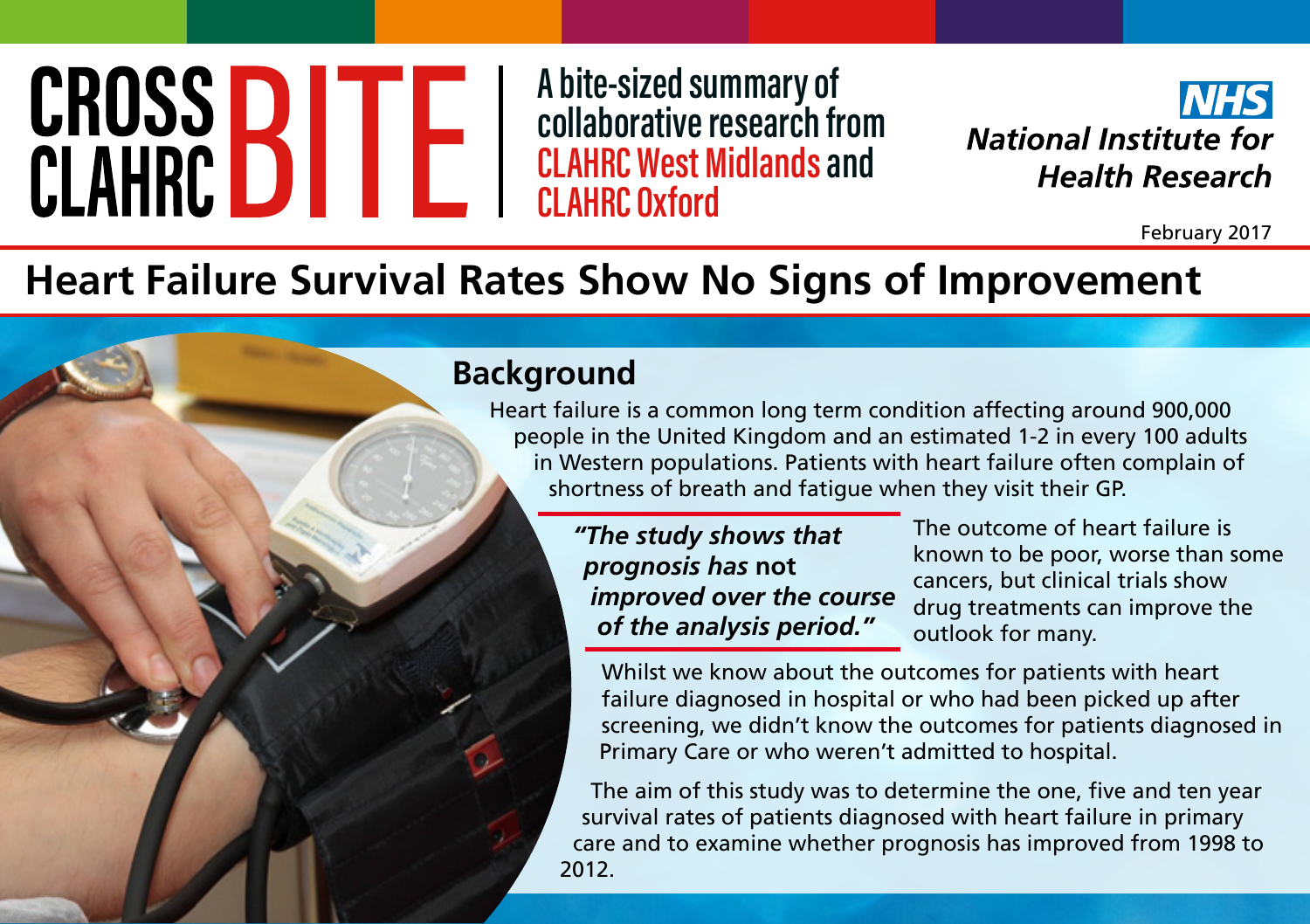# CROSS **BITE**

**A bite-sized summary of collaborative research from CLAHRC West Midlands and CLAHRC Oxford**



February 2017

# **Heart Failure Survival Rates Show No Signs of Improvement**

#### **Background**

Heart failure is a common long term condition affecting around 900,000 people in the United Kingdom and an estimated 1-2 in every 100 adults in Western populations. Patients with heart failure often complain of shortness of breath and fatigue when they visit their GP.

> *"The study shows that prognosis has* **not** *improved over the course of the analysis period."*

The outcome of heart failure is known to be poor, worse than some cancers, but clinical trials show drug treatments can improve the outlook for many.

Whilst we know about the outcomes for patients with heart failure diagnosed in hospital or who had been picked up after screening, we didn't know the outcomes for patients diagnosed in Primary Care or who weren't admitted to hospital.

The aim of this study was to determine the one, five and ten year survival rates of patients diagnosed with heart failure in primary care and to examine whether prognosis has improved from 1998 to 2012.